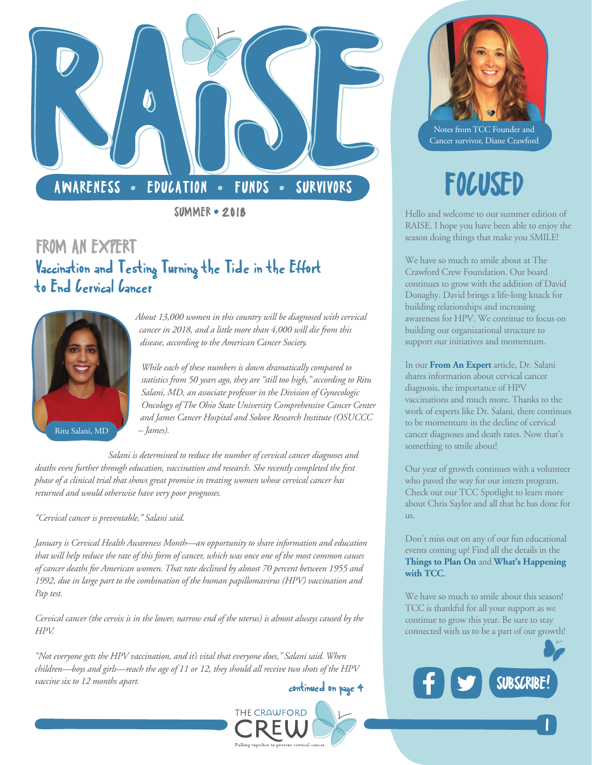

**SUMMER • 2018** 

### FROM AN EXPERT Vaccination and Testing Turning the Tide in the Effort to End *Cervical* Cancer



*About 13,000 women in this country will be diagnosed with [cervical](https://cancer.osu.edu/cancer-specialties/cancer-care-and-treatment/cervical-cancer)  [cancer](https://cancer.osu.edu/cancer-specialties/cancer-care-and-treatment/cervical-cancer) in 2018, and a little more than 4,000 will die from this disease, [according to the American Cancer Society.](https://www.cancer.org/cancer/cervical-cancer/about/key-statistics.html)* 

*While each of these numbers is down dramatically compared to statistics from 50 years ago, they are "still too high," according to [Ritu](https://cancer.osu.edu/research-and-education/find-a-researcher/search-researcher-directory/ritu-salani)  [Salani, MD,](https://cancer.osu.edu/research-and-education/find-a-researcher/search-researcher-directory/ritu-salani) an associate professor in the Division of Gynecologic Oncology of The Ohio State University Comprehensive Cancer Center and James Cancer Hospital and Solove Research Institute (OSUCCC – James).*

*Salani is determined to reduce the number of cervical cancer diagnoses and deaths even further through education, vaccination and research. She recently completed the first phase of a clinical trial that shows great promise in treating women whose cervical cancer has returned and would otherwise have very poor prognoses.*

*"Cervical cancer is preventable," Salani said.*

*January is Cervical Health Awareness Month—an opportunity to share information and education that will help reduce the rate of this form of cancer, which was once one of the most common causes of cancer deaths for American women. That rate declined by almost 70 percent between 1955 and 1992, due in large part to the combination of the [human papillomavirus \(HPV\) vaccination and](https://cancer.osu.edu/cancer-specialties/cancer-care-and-treatment/cervical-cancer/prevention)  [Pap test.](https://cancer.osu.edu/cancer-specialties/cancer-care-and-treatment/cervical-cancer/prevention)*

*Cervical cancer (the cervix is in the lower, narrow end of the uterus) is almost always caused by the HPV.*

*"Not everyone gets the HPV vaccination, and it's vital that everyone does," Salani said. When children—boys and girls—reach the age of 11 or 12, they should all receive two shots of the HPV vaccine six to 12 months apart.*





Notes from TCC Founder and Cancer survivor, Diane Crawford

## FOCUSED

Hello and welcome to our summer edition of RAISE. I hope you have been able to enjoy the season doing things that make you SMILE!

We have so much to smile about at The Crawford Crew Foundation. Our board continues to grow with the addition of David Donaghy. David brings a life-long knack for building relationships and increasing awareness for HPV. We continue to focus on building our organizational structure to support our initiatives and momentum.

In our **From An Expert** article, Dr. Salani shares information about cervical cancer diagnosis, the importance of HPV vaccinations and much more. Thanks to the work of experts like Dr. Salani, there continues to be momentum in the decline of cervical cancer diagnoses and death rates. Now that's something to smile about!

Our year of growth continues with a volunteer who paved the way for our intern program. Check out our TCC Spotlight to learn more about Chris Saylor and all that he has done for us.

Don't miss out on any of our fun educational events coming up! Find all the details in the **Things [to Plan On](#page-1-0)** and **[What's Happening](#page-2-0) [with TCC](#page-2-0)**.

We have so much to smile about this season! TCC is thankful for all your support as we continue to grow this year. Be sure to stay connected with us to be a part of our growth!



|<br>|<br>|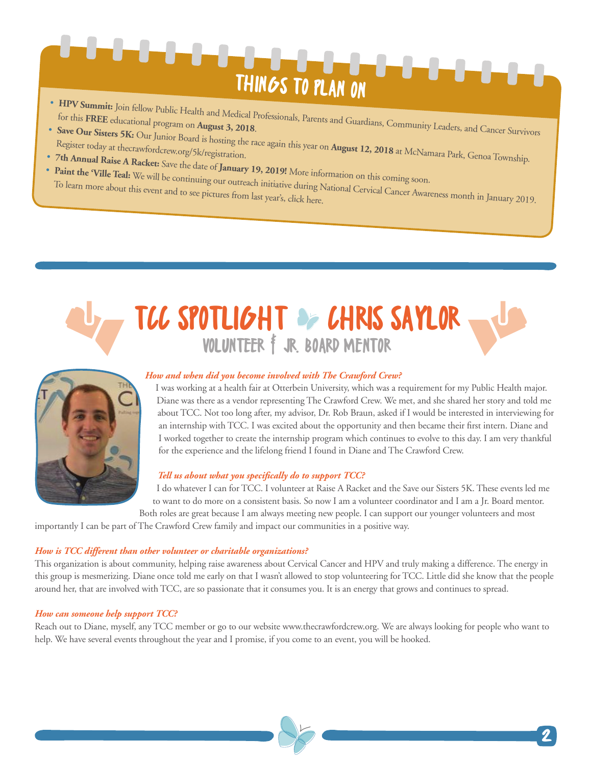# <span id="page-1-0"></span>THINGS TO PLAN ON

- [HPV Summit:](http://thecrawfordcrew.org/wp-content/uploads/2018/07/HPV-Summit-Invite.pdf) Join fellow Public Health and Medical Professionals, Parents and Guardians, Community Leaders, and Cancer Survivors<br>for this FREE educational program on August 3, 2018.<br>• [Save Our Sisters 5K:](http://thecrawfordcrew.org/5k/) Our Junior Board
- Our Sisters 5K: Our Junior Board is hosting the race again this year on **August 12, 2018** at McNamara Park, Genoa Township.<br>• 7th **Annual Raise A Racket:** Save also Let Canadian.
- 
- [7th Annual Raise A Racket:](http://thecrawfordcrew.org/event/raise-a-racket/) Save the date of January 19, 2019! More information on this coming soon.<br>• [Paint the 'Ville Teal:](http://paintthevilleteal.org/) We will be continuing our outreach initiaties of the second on this coming soon. rant the Ville Teal: We will be continuing our outreach initiative during National Cervical Cancer Awareness month in January 2019.<br>To learn more about this event and to see pictures from last year's, click here.

### TCC SPOTLIGHT OF CHRIS SAYLOR VOLUNTEER F JR. BOARD MENTOR



### *How and when did you become involved with The Crawford Crew?*

I was working at a health fair at Otterbein University, which was a requirement for my Public Health major. Diane was there as a vendor representing The Crawford Crew. We met, and she shared [her story](http://thecrawfordcrew.org/about-cervical-cancer-prevention/dianes-story/) and told me [about TCC.](http://thecrawfordcrew.org/about-cervical-cancer-prevention/) Not too long after, my advisor, Dr. Rob Braun, asked if I would be interested in interviewing for an internship with TCC. I was excited about the opportunity and then became their first intern. Diane and I worked together to create the internship program which continues to evolve to this day. I am very thankful for the experience and the lifelong friend I found in Diane and The Crawford Crew.

### *Tell us about what you specifically do to support TCC?*

I do whatever I can for TCC. I volunteer a[t Raise A Racket](http://thecrawfordcrew.org/event/raise-a-racket/) and the [Save our Sisters 5K.](http://thecrawfordcrew.org/5k/) These events led me to want to do more on a consistent basis. So now I am a volunteer coordinator and I am a Jr. Board mentor. Both roles are great because I am always meeting new people. I can support our younger volunteers and most

importantly I can be part of The Crawford Crew family and impact our communities in a positive way.

### *How is TCC different than other volunteer or charitable organizations?*

This organization is about community, helping raise awareness about Cervical Cancer and HPV and truly making a difference. The energy in this group is mesmerizing. Diane once told me early on that I wasn't allowed to stop volunteering for TCC. Little did she know that the people around her, that are involved with TCC, are so passionate that it consumes you. It is an energy that grows and continues to spread.

### *How can someone help support TCC?*

Reach out to Diane, myself, any TCC member or go to our website [www.thecrawfordcrew.org.](http://thecrawfordcrew.org/about-cervical-cancer-prevention/join-us/) We are always looking for people who want to help. We have several events throughout the year and I promise, if you come to an event, you will be hooked.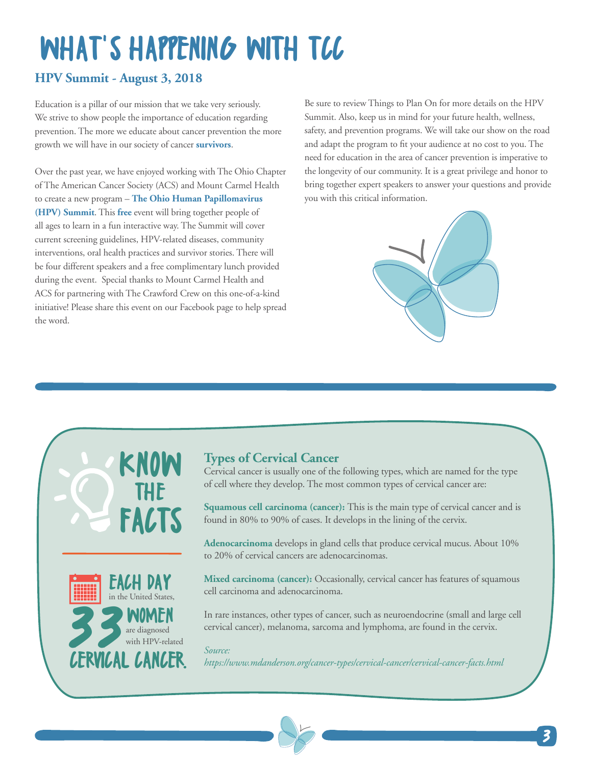# <span id="page-2-0"></span>WHAT'S HAPPENING WITH TCC

### **[HPV Summit](http://thecrawfordcrew.org/wp-content/uploads/2018/07/HPV-Summit-Invite.pdf) - August 3, 2018**

Education is a pillar of our mission that we take very seriously. We strive to show people the importance of education regarding prevention. The more we educate about cancer prevention the more growth we will have in our society of cancer **survivors**.

Over the past year, we have enjoyed working with The Ohio Chapter of [The American Cancer Society \(ACS\)](https://www.cancer.org/) and [Mount Carmel Health](http://www.mountcarmelhealth.com/)  to create a new program – **[The Ohio Human Papillomavirus](http://thecrawfordcrew.org/wp-content/uploads/2018/07/HPV-Summit-Invite.pdf)  [\(HPV\) Summit](http://thecrawfordcrew.org/wp-content/uploads/2018/07/HPV-Summit-Invite.pdf)**. This **free** event will bring together people of all ages to learn in a fun interactive way. The Summit will cover current screening guidelines, HPV-related diseases, community interventions, oral health practices and survivor stories. There will be four different speakers and a free complimentary lunch provided during the event. Special thanks to [Mount Carmel Health](http://www.mountcarmelhealth.com/) and [ACS](https://www.cancer.org/) for partnering with The Crawford Crew on this one-of-a-kind initiative! Please share this event on our [Facebook page](https://www.facebook.com/TheCrawfordCrewFoundation/) to help spread the word.

Be sure to review [Things to Plan On](#page-1-0) for more details on the HPV Summit. Also, keep us in mind for your future health, wellness, safety, and prevention programs. We wil[l take our show on the road](http://thecrawfordcrew.org/contact-us/request-a-speaker/)  and adapt the program to fit your audience at no cost to you. The need for education in the area of cancer prevention is imperative to the longevity of our community. It is a great privilege and honor to bring together expert speakers to answer your questions and provide you with this critical information.







### **Types of Cervical Cancer**

Cervical cancer is usually one of the following types, which are named for the type of cell where they develop. The most common types of cervical cancer are:

**Squamous cell carcinoma (cancer):** This is the main type of cervical cancer and is found in 80% to 90% of cases. It develops in the lining of the cervix.

**Adenocarcinoma** develops in gland cells that produce cervical mucus. About 10% to 20% of cervical cancers are adenocarcinomas.

**Mixed carcinoma (cancer):** Occasionally, cervical cancer has features of squamous cell carcinoma and adenocarcinoma.

In rare instances, other types of cancer, such as neuroendocrine [\(small and large cell](https://www.mdanderson.org/cancer-types/cervical-cancer/small-and-large-cell-cervical-cancer.html)  [cervical cancer\)](https://www.mdanderson.org/cancer-types/cervical-cancer/small-and-large-cell-cervical-cancer.html), melanoma, sarcoma and lymphoma, are found in the cervix.

### *Source:*

*<https://www.mdanderson.org/cancer-types/cervical-cancer/cervical-cancer-facts.html>*